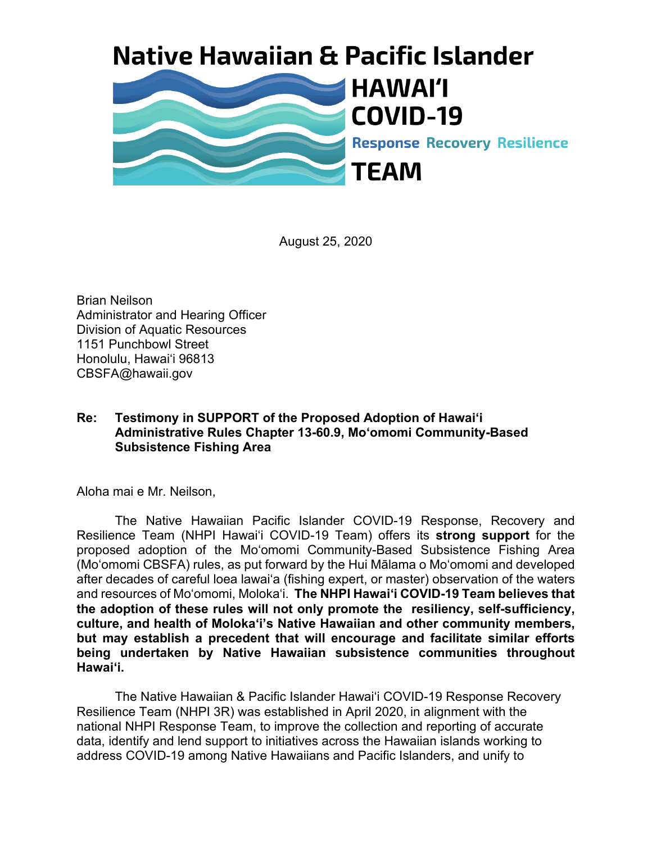## **Native Hawaiian & Pacific Islander**



August 25, 2020

Brian Neilson Administrator and Hearing Officer Division of Aquatic Resources 1151 Punchbowl Street Honolulu, Hawai'i 96813 CBSFA@hawaii.gov

## **Re: Testimony in SUPPORT of the Proposed Adoption of Hawai'i Administrative Rules Chapter 13-60.9, Mo'omomi Community-Based Subsistence Fishing Area**

Aloha mai e Mr. Neilson,

The Native Hawaiian Pacific Islander COVID-19 Response, Recovery and Resilience Team (NHPI Hawai'i COVID-19 Team) offers its **strong support** for the proposed adoption of the Mo'omomi Community-Based Subsistence Fishing Area (Mo'omomi CBSFA) rules, as put forward by the Hui Mālama o Mo'omomi and developed after decades of careful loea lawai'a (fishing expert, or master) observation of the waters and resources of Mo'omomi, Moloka'i. **The NHPI Hawai'i COVID-19 Team believes that the adoption of these rules will not only promote the resiliency, self-sufficiency, culture, and health of Moloka'i's Native Hawaiian and other community members, but may establish a precedent that will encourage and facilitate similar efforts being undertaken by Native Hawaiian subsistence communities throughout Hawai'i.**

The Native Hawaiian & Pacific Islander Hawaiʻi COVID-19 Response Recovery Resilience Team (NHPI 3R) was established in April 2020, in alignment with the national NHPI Response Team, to improve the collection and reporting of accurate data, identify and lend support to initiatives across the Hawaiian islands working to address COVID-19 among Native Hawaiians and Pacific Islanders, and unify to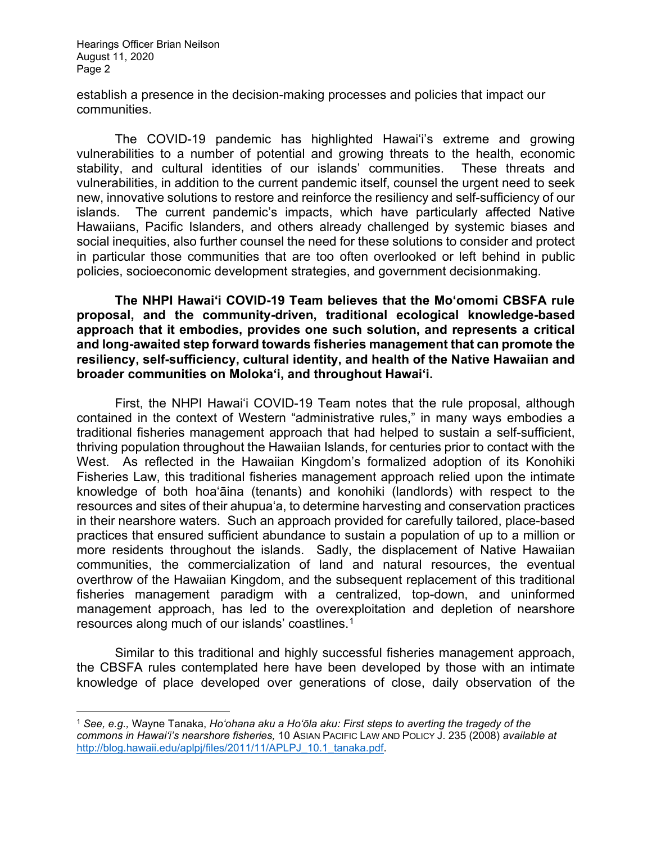establish a presence in the decision-making processes and policies that impact our communities.

The COVID-19 pandemic has highlighted Hawai'i's extreme and growing vulnerabilities to a number of potential and growing threats to the health, economic stability, and cultural identities of our islands' communities. These threats and vulnerabilities, in addition to the current pandemic itself, counsel the urgent need to seek new, innovative solutions to restore and reinforce the resiliency and self-sufficiency of our islands. The current pandemic's impacts, which have particularly affected Native Hawaiians, Pacific Islanders, and others already challenged by systemic biases and social inequities, also further counsel the need for these solutions to consider and protect in particular those communities that are too often overlooked or left behind in public policies, socioeconomic development strategies, and government decisionmaking.

**The NHPI Hawai'i COVID-19 Team believes that the Mo'omomi CBSFA rule proposal, and the community-driven, traditional ecological knowledge-based approach that it embodies, provides one such solution, and represents a critical and long-awaited step forward towards fisheries management that can promote the resiliency, self-sufficiency, cultural identity, and health of the Native Hawaiian and broader communities on Moloka'i, and throughout Hawai'i.**

First, the NHPI Hawai'i COVID-19 Team notes that the rule proposal, although contained in the context of Western "administrative rules," in many ways embodies a traditional fisheries management approach that had helped to sustain a self-sufficient, thriving population throughout the Hawaiian Islands, for centuries prior to contact with the West. As reflected in the Hawaiian Kingdom's formalized adoption of its Konohiki Fisheries Law, this traditional fisheries management approach relied upon the intimate knowledge of both hoa'āina (tenants) and konohiki (landlords) with respect to the resources and sites of their ahupua'a, to determine harvesting and conservation practices in their nearshore waters. Such an approach provided for carefully tailored, place-based practices that ensured sufficient abundance to sustain a population of up to a million or more residents throughout the islands. Sadly, the displacement of Native Hawaiian communities, the commercialization of land and natural resources, the eventual overthrow of the Hawaiian Kingdom, and the subsequent replacement of this traditional fisheries management paradigm with a centralized, top-down, and uninformed management approach, has led to the overexploitation and depletion of nearshore resources along much of our islands' coastlines. $^{\rm 1}$ 

Similar to this traditional and highly successful fisheries management approach, the CBSFA rules contemplated here have been developed by those with an intimate knowledge of place developed over generations of close, daily observation of the

<span id="page-1-0"></span><sup>1</sup> *See, e.g.,* Wayne Tanaka, *Ho'ohana aku a Ho'ōla aku: First steps to averting the tragedy of the commons in Hawai'i's nearshore fisheries,* 10 ASIAN PACIFIC LAW AND POLICY J. 235 (2008) *available at*  [http://blog.hawaii.edu/aplpj/files/2011/11/APLPJ\\_10.1\\_tanaka.pdf.](http://blog.hawaii.edu/aplpj/files/2011/11/APLPJ_10.1_tanaka.pdf)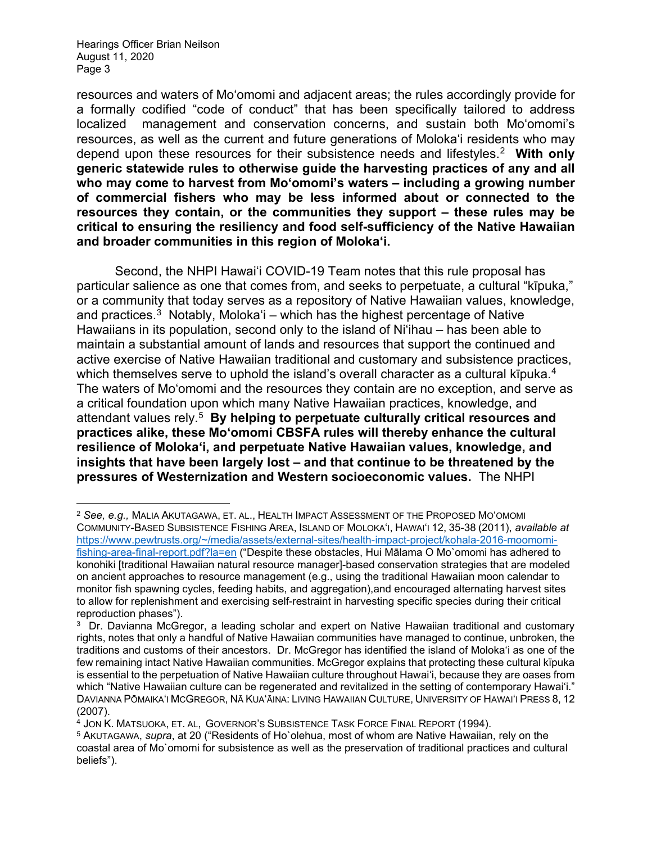resources and waters of Mo'omomi and adjacent areas; the rules accordingly provide for a formally codified "code of conduct" that has been specifically tailored to address localized management and conservation concerns, and sustain both Mo'omomi's resources, as well as the current and future generations of Moloka'i residents who may depend upon these resources for their subsistence needs and lifestyles.[2](#page-2-0) **With only generic statewide rules to otherwise guide the harvesting practices of any and all who may come to harvest from Mo'omomi's waters – including a growing number of commercial fishers who may be less informed about or connected to the resources they contain, or the communities they support – these rules may be critical to ensuring the resiliency and food self-sufficiency of the Native Hawaiian and broader communities in this region of Moloka'i.**

Second, the NHPI Hawai'i COVID-19 Team notes that this rule proposal has particular salience as one that comes from, and seeks to perpetuate, a cultural "kīpuka," or a community that today serves as a repository of Native Hawaiian values, knowledge, and practices. $3$  Notably, Moloka'i – which has the highest percentage of Native Hawaiians in its population, second only to the island of Ni'ihau – has been able to maintain a substantial amount of lands and resources that support the continued and active exercise of Native Hawaiian traditional and customary and subsistence practices, which themselves serve to uphold the island's overall character as a cultural kīpuka. $^4\,$ The waters of Mo'omomi and the resources they contain are no exception, and serve as a critical foundation upon which many Native Hawaiian practices, knowledge, and attendant values rely.[5](#page-2-3) **By helping to perpetuate culturally critical resources and practices alike, these Mo'omomi CBSFA rules will thereby enhance the cultural resilience of Moloka'i, and perpetuate Native Hawaiian values, knowledge, and insights that have been largely lost – and that continue to be threatened by the pressures of Westernization and Western socioeconomic values.** The NHPI

<span id="page-2-0"></span><sup>2</sup> *See, e.g.,* MALIA AKUTAGAWA, ET. AL., HEALTH IMPACT ASSESSMENT OF THE PROPOSED MO'OMOMI COMMUNITY-BASED SUBSISTENCE FISHING AREA, ISLAND OF MOLOKA'I, HAWAI'I 12, 35-38 (2011), *available at* [https://www.pewtrusts.org/~/media/assets/external-sites/health-impact-project/kohala-2016-moomomi](https://www.pewtrusts.org/%7E/media/assets/external-sites/health-impact-project/kohala-2016-moomomi-fishing-area-final-report.pdf?la=en)[fishing-area-final-report.pdf?la=en](https://www.pewtrusts.org/%7E/media/assets/external-sites/health-impact-project/kohala-2016-moomomi-fishing-area-final-report.pdf?la=en) ("Despite these obstacles, Hui Mālama O Mo`omomi has adhered to konohiki [traditional Hawaiian natural resource manager]-based conservation strategies that are modeled on ancient approaches to resource management (e.g., using the traditional Hawaiian moon calendar to monitor fish spawning cycles, feeding habits, and aggregation),and encouraged alternating harvest sites to allow for replenishment and exercising self-restraint in harvesting specific species during their critical reproduction phases").

<span id="page-2-1"></span> $3$  Dr. Davianna McGregor, a leading scholar and expert on Native Hawaiian traditional and customary rights, notes that only a handful of Native Hawaiian communities have managed to continue, unbroken, the traditions and customs of their ancestors. Dr. McGregor has identified the island of Moloka'i as one of the few remaining intact Native Hawaiian communities. McGregor explains that protecting these cultural kïpuka is essential to the perpetuation of Native Hawaiian culture throughout Hawai'i, because they are oases from which "Native Hawaiian culture can be regenerated and revitalized in the setting of contemporary Hawai'i." DAVIANNA PŌMAIKA'I MCGREGOR, NĀ KUA'ĀINA: LIVING HAWAIIAN CULTURE, UNIVERSITY OF HAWAI'I PRESS 8, 12 (2007).

<span id="page-2-2"></span> $4$  JON K. MATSUOKA, ET. AL, GOVERNOR'S SUBSISTENCE TASK FORCE FINAL REPORT (1994).

<span id="page-2-3"></span><sup>5</sup> AKUTAGAWA, *supra*, at 20 ("Residents of Ho`olehua, most of whom are Native Hawaiian, rely on the coastal area of Mo`omomi for subsistence as well as the preservation of traditional practices and cultural beliefs").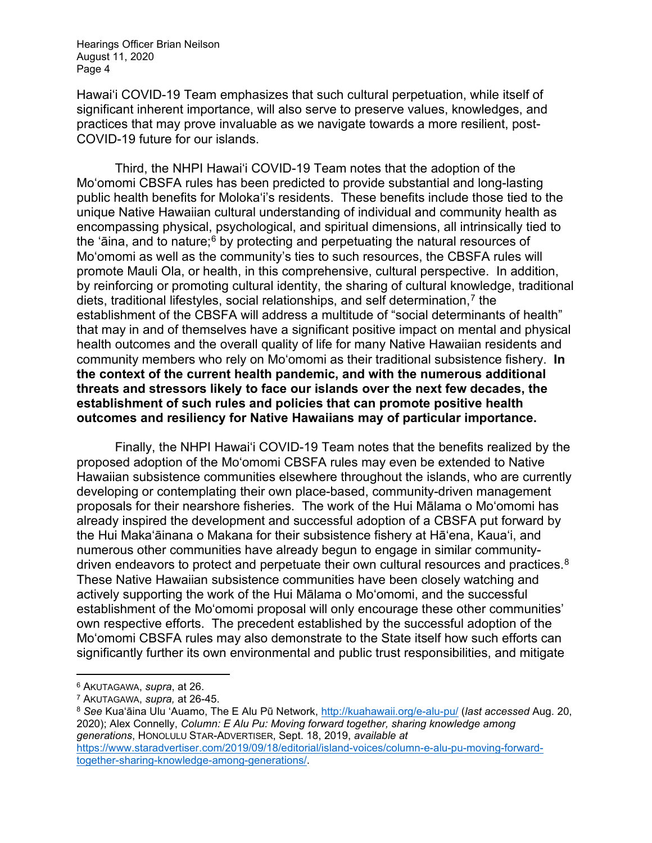Hawai'i COVID-19 Team emphasizes that such cultural perpetuation, while itself of significant inherent importance, will also serve to preserve values, knowledges, and practices that may prove invaluable as we navigate towards a more resilient, post-COVID-19 future for our islands.

Third, the NHPI Hawai'i COVID-19 Team notes that the adoption of the Mo'omomi CBSFA rules has been predicted to provide substantial and long-lasting public health benefits for Moloka'i's residents. These benefits include those tied to the unique Native Hawaiian cultural understanding of individual and community health as encompassing physical, psychological, and spiritual dimensions, all intrinsically tied to the 'aina, and to nature; $6$  by protecting and perpetuating the natural resources of Mo'omomi as well as the community's ties to such resources, the CBSFA rules will promote Mauli Ola, or health, in this comprehensive, cultural perspective. In addition, by reinforcing or promoting cultural identity, the sharing of cultural knowledge, traditional diets, traditional lifestyles, social relationships, and self determination,<sup>[7](#page-3-1)</sup> the establishment of the CBSFA will address a multitude of "social determinants of health" that may in and of themselves have a significant positive impact on mental and physical health outcomes and the overall quality of life for many Native Hawaiian residents and community members who rely on Mo'omomi as their traditional subsistence fishery. **In the context of the current health pandemic, and with the numerous additional threats and stressors likely to face our islands over the next few decades, the establishment of such rules and policies that can promote positive health outcomes and resiliency for Native Hawaiians may of particular importance.**

Finally, the NHPI Hawai'i COVID-19 Team notes that the benefits realized by the proposed adoption of the Mo'omomi CBSFA rules may even be extended to Native Hawaiian subsistence communities elsewhere throughout the islands, who are currently developing or contemplating their own place-based, community-driven management proposals for their nearshore fisheries. The work of the Hui Mālama o Mo'omomi has already inspired the development and successful adoption of a CBSFA put forward by the Hui Maka'āinana o Makana for their subsistence fishery at Hā'ena, Kaua'i, and numerous other communities have already begun to engage in similar communitydriven endeavors to protect and perpetuate their own cultural resources and practices. [8](#page-3-2)  These Native Hawaiian subsistence communities have been closely watching and actively supporting the work of the Hui Mālama o Mo'omomi, and the successful establishment of the Mo'omomi proposal will only encourage these other communities' own respective efforts. The precedent established by the successful adoption of the Mo'omomi CBSFA rules may also demonstrate to the State itself how such efforts can significantly further its own environmental and public trust responsibilities, and mitigate

<span id="page-3-0"></span><sup>6</sup> AKUTAGAWA, *supra*, at 26.

<span id="page-3-1"></span><sup>7</sup> AKUTAGAWA, *supra,* at 26-45.

<span id="page-3-2"></span><sup>8</sup> *See* Kua'āina Ulu 'Auamo, The E Alu Pū Network, <http://kuahawaii.org/e-alu-pu/> (*last accessed* Aug. 20, 2020); Alex Connelly, *Column: E Alu Pu: Moving forward together, sharing knowledge among generations*, HONOLULU STAR-ADVERTISER, Sept. 18, 2019, *available at*  [https://www.staradvertiser.com/2019/09/18/editorial/island-voices/column-e-alu-pu-moving-forward](https://www.staradvertiser.com/2019/09/18/editorial/island-voices/column-e-alu-pu-moving-forward-together-sharing-knowledge-among-generations/)[together-sharing-knowledge-among-generations/.](https://www.staradvertiser.com/2019/09/18/editorial/island-voices/column-e-alu-pu-moving-forward-together-sharing-knowledge-among-generations/)